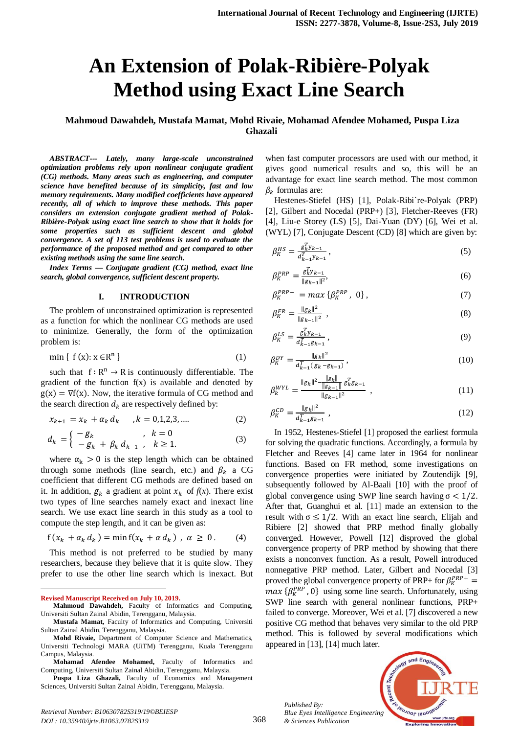# **An Extension of Polak-Ribière-Polyak Method using Exact Line Search**

# **Mahmoud Dawahdeh, Mustafa Mamat, Mohd Rivaie, Mohamad Afendee Mohamed, Puspa Liza Ghazali**

*ABSTRACT--- Lately, many large-scale unconstrained optimization problems rely upon nonlinear conjugate gradient (CG) methods. Many areas such as engineering, and computer science have benefited because of its simplicity, fast and low memory requirements. Many modified coefficients have appeared recently, all of which to improve these methods. This paper considers an extension conjugate gradient method of Polak-Ribière-Polyak using exact line search to show that it holds for some properties such as sufficient descent and global convergence. A set of 113 test problems is used to evaluate the performance of the proposed method and get compared to other existing methods using the same line search.*

*Index Terms — Conjugate gradient (CG) method, exact line search, global convergence, sufficient descent property.*

#### **I. INTRODUCTION**

The problem of unconstrained optimization is represented as a function for which the nonlinear CG methods are used to minimize. Generally, the form of the optimization problem is:

$$
\min\{\ f(x): x \in \mathbb{R}^n\} \tag{1}
$$

such that  $f: \mathbb{R}^n \to \mathbb{R}$  is continuously differentiable. The gradient of the function  $f(x)$  is available and denoted by  $g(x) = \nabla f(x)$ . Now, the iterative formula of CG method and the search direction  $d_k$  are respectively defined by:

$$
x_{k+1} = x_k + a_k d_k, \quad k = 0, 1, 2, 3, \dots
$$
 (2)

$$
d_k = \begin{cases} -g_k & , k = 0 \\ -g_k + \beta_k d_{k-1} & , k \ge 1. \end{cases}
$$
 (3)

where  $\alpha_k > 0$  is the step length which can be obtained through some methods (line search, etc.) and  $\beta_k$  a CG coefficient that different CG methods are defined based on it. In addition,  $g_k$  a gradient at point  $x_k$  of  $f(x)$ . There exist two types of line searches namely exact and inexact line search. We use exact line search in this study as a tool to compute the step length, and it can be given as:

$$
f(x_k + \alpha_k d_k) = \min f(x_k + \alpha d_k), \ \alpha \ge 0. \tag{4}
$$

This method is not preferred to be studied by many researchers, because they believe that it is quite slow. They prefer to use the other line search which is inexact. But

 $\overline{a}$ 

when fast computer processors are used with our method, it gives good numerical results and so, this will be an advantage for exact line search method. The most common  $\beta_k$  formulas are:

Hestenes-Stiefel (HS) [1], Polak-Ribi`re-Polyak (PRP) [2], Gilbert and Nocedal (PRP+) [3], Fletcher-Reeves (FR) [4], Liu-e Storey (LS) [5], Dai-Yuan (DY) [6], Wei et al. (WYL) [7], Conjugate Descent (CD) [8] which are given by:

$$
\beta_K^{HS} = \frac{g_{k}^T y_{k-1}}{d_{k-1}^T y_{k-1}},\tag{5}
$$

$$
\beta_K^{PRP} = \frac{g_{k}^T y_{k-1}}{\|g_{k-1}\|^2},\tag{6}
$$

$$
\beta_K^{PRP+} = \max \left\{ \beta_K^{PRP}, \ 0 \right\},\tag{7}
$$

$$
\beta_K^{FR} = \frac{\|g_k\|^2}{\|g_{k-1}\|^2} \tag{8}
$$

$$
\beta_K^{LS} = \frac{g_K^T y_{k-1}}{d_{k-1}^T g_{k-1}},\tag{9}
$$

$$
\beta_K^{DY} = \frac{\|g_k\|^2}{d_{k-1}^T (g_k - g_{k-1})},\tag{10}
$$

$$
\beta_K^{WYL} = \frac{\|g_k\|^2 - \frac{\|g_k\|}{\|g_{k-1}\|} g_k^T g_{k-1}}{\|g_{k-1}\|^2} \,, \tag{11}
$$

$$
\beta_K^{CD} = \frac{\|g_k\|^2}{d_{k-1}^T g_{k-1}} \,,\tag{12}
$$

In 1952, Hestenes-Stiefel [1] proposed the earliest formula for solving the quadratic functions. Accordingly, a formula by Fletcher and Reeves [4] came later in 1964 for nonlinear functions. Based on FR method, some investigations on convergence properties were initiated by Zoutendijk [9], subsequently followed by Al-Baali [10] with the proof of global convergence using SWP line search having  $\sigma$  < 1/2. After that, Guanghui et al. [11] made an extension to the result with  $\sigma \leq 1/2$ . With an exact line search, Elijah and Ribiere [2] showed that PRP method finally globally converged. However, Powell [12] disproved the global convergence property of PRP method by showing that there exists a nonconvex function. As a result, Powell introduced nonnegative PRP method. Later, Gilbert and Nocedal [3] proved the global convergence property of PRP+ for  $\beta_K^P$  $max\{\beta_K^{PRP}, 0\}$  using some line search. Unfortunately, using SWP line search with general nonlinear functions, PRP+ failed to converge. Moreover, Wei et al. [7] discovered a new positive CG method that behaves very similar to the old PRP method. This is followed by several modifications which appeared in [13], [14] much later.

*Published By: Blue Eyes Intelligence Engineering & Sciences Publication* 



**Revised Manuscript Received on July 10, 2019.**

**Mahmoud Dawahdeh,** Faculty of Informatics and Computing, Universiti Sultan Zainal Abidin, Terengganu, Malaysia.

**Mustafa Mamat,** Faculty of Informatics and Computing, Universiti Sultan Zainal Abidin, Terengganu, Malaysia.

**Mohd Rivaie,** Department of Computer Science and Mathematics, Universiti Technologi MARA (UiTM) Terengganu, Kuala Terengganu Campus, Malaysia.

**Mohamad Afendee Mohamed,** Faculty of Informatics and Computing, Universiti Sultan Zainal Abidin, Terengganu, Malaysia.

**Puspa Liza Ghazali,** Faculty of Economics and Management Sciences, Universiti Sultan Zainal Abidin, Terengganu, Malaysia.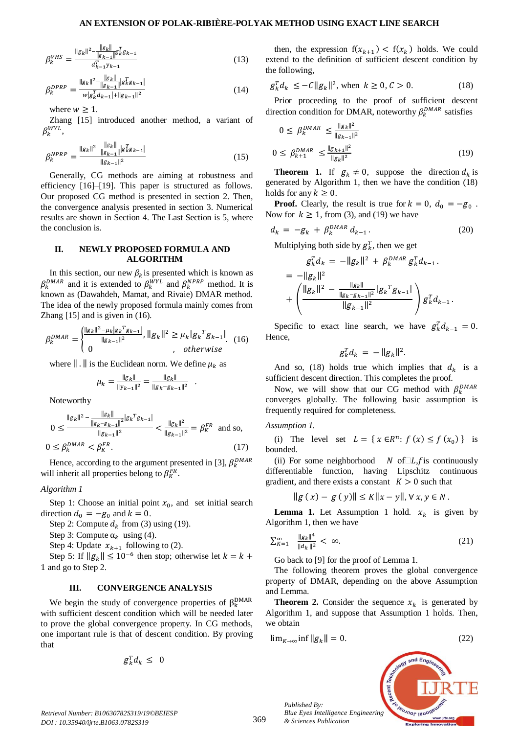## **AN EXTENSION OF POLAK-RIBIÈRE-POLYAK METHOD USING EXACT LINE SEARCH**

$$
\beta_k^{VHS} = \frac{\|g_k\|^2 - \frac{\|g_k\|}{\|g_{k-1}\|^2} g_k^T g_{k-1}}{d_{k-1}^T y_{k-1}}\tag{13}
$$

$$
\beta_k^{DPRP} = \frac{\|g_k\|^2 - \frac{\|g_k\|}{\|g_{k-1}\|} |g_k^T g_{k-1}|}{w |g_k^T d_{k-1}| + \|g_{k-1}\|^2}
$$
(14)

where  $w \geq 1$ .

Zhang [15] introduced another method, a variant of  $\beta_k^{WYL},$ 

$$
\beta_k^{NPRP} = \frac{\|g_k\|^2 - \frac{\|g_k\|}{\|g_{k-1}\|} |g_k^T g_{k-1}|}{\|g_{k-1}\|^2}
$$
(15)

Generally, CG methods are aiming at robustness and efficiency [16]–[19]. This paper is structured as follows. Our proposed CG method is presented in section 2. Then, the convergence analysis presented in section 3. Numerical results are shown in Section 4. The Last Section is 5, where the conclusion is.

#### **II. NEWLY PROPOSED FORMULA AND ALGORITHM**

In this section, our new  $\beta_k$  is presented which is known as  $\beta_k^{DMAR}$  and it is extended to  $\beta_k^{WYL}$  and  $\beta_k^{NPRP}$  method. It is known as (Dawahdeh, Mamat, and Rivaie) DMAR method. The idea of the newly proposed formula mainly comes from Zhang [15] and is given in (16).

$$
\beta_k^{DMAR} = \begin{cases} \frac{\|g_k\|^2 - \mu_k |g_k^T g_{k-1}|}{\|g_{k-1}\|^2}, \|g_k\|^2 \ge \mu_k |g_k^T g_{k-1}|\\ 0, \qquad \text{otherwise} \end{cases} (16)
$$

where  $\| \cdot \|$  is the Euclidean norm. We define  $\mu_k$  as

$$
\mu_k = \frac{\|g_k\|}{\|y_{k-1}\|^2} = \frac{\|g_k\|}{\|g_k - g_{k-1}\|^2} .
$$

Noteworthy

$$
0 \le \frac{\|g_k\|^2 - \frac{\|g_k\|}{\|g_k - g_{k-1}\|^2} |g_k|^T g_{k-1}|}{\|g_{k-1}\|^2} < \frac{\|g_k\|^2}{\|g_{k-1}\|^2} = \beta_K^{FR} \text{ and so,}
$$
  

$$
0 \le \beta_k^{DMAR} < \beta_K^{FR}.
$$
 (17)

Hence, according to the argument presented in [3],  $\beta_k^D$ will inherit all properties belong to  $\beta_K^{FR}$ .

#### *Algorithm 1*

Step 1: Choose an initial point  $x_0$ , and set initial search direction  $d_0 = -g_0$  and  $k = 0$ .

Step 2: Compute  $d_k$  from (3) using (19).

Step 3: Compute  $\alpha_k$  using (4).

Step 4: Update  $x_{k+1}$  following to (2).

Step 5: If  $||g_k|| \leq 10^{-6}$  then stop; otherwise let 1 and go to Step 2.

#### **III. CONVERGENCE ANALYSIS**

We begin the study of convergence properties of  $\beta_{k}^{D}$ with sufficient descent condition which will be needed later to prove the global convergence property. In CG methods, one important rule is that of descent condition. By proving that

$$
g_k^T d_k \leq 0
$$

then, the expression  $f(x_{k+1}) < f(x_k)$  holds. We could extend to the definition of sufficient descent condition by the following,

$$
g_k^T d_k \le -C \|g_k\|^2, \text{ when } k \ge 0, C > 0. \tag{18}
$$

Prior proceeding to the proof of sufficient descent direction condition for DMAR, noteworthy  $\beta_k^{DMAR}$  satisfies

$$
0 \le \beta_k^{DMAR} \le \frac{\|g_k\|^2}{\|g_{k-1}\|^2}
$$
  
 
$$
0 \le \beta_{k+1}^{DMAR} \le \frac{\|g_{k+1}\|^2}{\|g_k\|^2}
$$
 (19)

**Theorem 1.** If  $g_k \neq 0$ , suppose the direction  $d_k$  is generated by Algorithm 1, then we have the condition (18) holds for any  $k \geq 0$ .

**Proof.** Clearly, the result is true for  $k = 0$ ,  $d_0 = -g_0$ . Now for  $k \ge 1$ , from (3), and (19) we have

$$
d_k = -g_k + \beta_k^{DMAR} d_{k-1}.
$$
 (20)

Multiplying both side by  $g_k^T$ , then we get

$$
g_k^T d_k = -\|g_k\|^2 + \beta_k^{DMAR} g_k^T d_{k-1}.
$$
  
=  $-\|g_k\|^2$   
+  $\left(\frac{\|g_k\|^2 - \frac{\|g_k\|}{\|g_k - g_{k-1}\|^2}|g_k^T g_{k-1}|}{\|g_{k-1}\|^2}\right) g_k^T d_{k-1}.$ 

Specific to exact line search, we have  $g_k^T d_{k-1} = 0$ . Hence,

$$
g_k^T d_k = -\|g_k\|^2.
$$

And so, (18) holds true which implies that  $d_k$  is a sufficient descent direction. This completes the proof.

Now, we will show that our CG method with  $\beta_k^D$ converges globally. The following basic assumption is frequently required for completeness.

*Assumption 1.* 

(i) The level set  $L = \{ x \in \mathbb{R}^n : f(x) \le f(x_0) \}$  is bounded.

(ii) For some neighborhood  $N$  of  $\Box L$ , f is continuously differentiable function, having Lipschitz continuous gradient, and there exists a constant  $K > 0$  such that

 $||g(x) - g(y)|| \le K||x - y||, \forall x, y \in N.$ 

**Lemma 1.** Let Assumption 1 hold.  $x_k$  is given by Algorithm 1, then we have

$$
\sum_{K=1}^{\infty} \frac{\|g_k\|^4}{\|d_k\|^2} < \infty. \tag{21}
$$

Go back to [9] for the proof of Lemma 1.

The following theorem proves the global convergence property of DMAR, depending on the above Assumption and Lemma.

**Theorem 2.** Consider the sequence  $x_k$  is generated by Algorithm 1, and suppose that Assumption 1 holds. Then, we obtain

$$
\lim_{K \to \infty} \inf \|g_k\| = 0. \tag{22}
$$



*Retrieval Number: B10630782S319/19©BEIESP DOI : 10.35940/ijrte.B1063.0782S319*

*Published By:*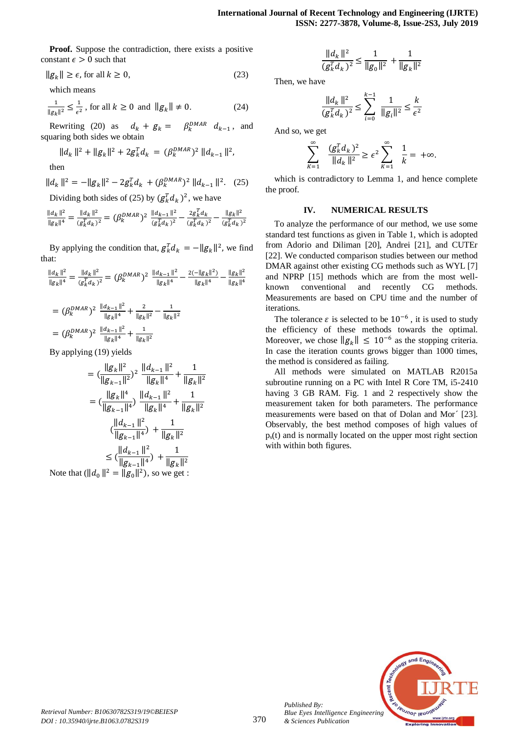**Proof.** Suppose the contradiction, there exists a positive constant  $\epsilon > 0$  such that

$$
||g_k|| \ge \epsilon, \text{ for all } k \ge 0,
$$
\n<sup>(23)</sup>

which means

$$
\frac{1}{\|g_k\|^2} \le \frac{1}{\epsilon^2}, \text{ for all } k \ge 0 \text{ and } \|g_k\| \ne 0. \tag{24}
$$

Rewriting (20) as  $d_k + g_k = \beta_k^{DMAR} d_{k-1}$ , and squaring both sides we obtain

$$
||d_k||^2 + ||g_k||^2 + 2g_k^T d_k = (\beta_k^{DMAR})^2 ||d_{k-1}||^2,
$$

then

$$
||d_k||^2 = -||g_k||^2 - 2g_k^T d_k + (\beta_k^{DMAR})^2 ||d_{k-1}||^2. \quad (25)
$$

Dividing both sides of (25) by  $(g_k^T d_k)^2$ , we have

$$
\frac{\|d_k\|^2}{\|g_k\|^4} = \frac{\|d_k\|^2}{(g_k^T d_k)^2} = (\beta_k^{DMAR})^2 \frac{\|d_{k-1}\|^2}{(g_k^T d_k)^2} - \frac{2g_k^T d_k}{(g_k^T d_k)^2} - \frac{\|g_k\|^2}{(g_k^T d_k)^2}
$$

By applying the condition that,  $g_k^T d_k = -\|g_k\|^2$ , we find that:

$$
\frac{\|d_k\|^2}{\|g_k\|^4} = \frac{\|d_k\|^2}{(g_k^T d_k)^2} = (\beta_k^{DMAR})^2 \; \frac{\|d_{k-1}\|^2}{\|g_k\|^4} - \frac{2(-\|g_k\|^2)}{\|g_k\|^4} - \frac{\|g_k\|^2}{\|g_k\|^4}
$$

$$
= (\beta_k^{DMAR})^2 \frac{\|d_{k-1}\|^2}{\|g_k\|^4} + \frac{2}{\|g_k\|^2} - \frac{1}{\|g_k\|^2}
$$

$$
= (\beta_k^{DMAR})^2 \frac{\|d_{k-1}\|^2}{\|g_k\|^4} + \frac{1}{\|g_k\|^2}
$$

By applying (19) yields

$$
= (\frac{\|g_k\|^2}{\|g_{k-1}\|^2})^2 \frac{\|d_{k-1}\|^2}{\|g_k\|^4} + \frac{1}{\|g_k\|^2}
$$

$$
= (\frac{\|g_k\|^4}{\|g_{k-1}\|^4}) \frac{\|d_{k-1}\|^2}{\|g_k\|^4} + \frac{1}{\|g_k\|^2}
$$

$$
(\frac{\|d_{k-1}\|^2}{\|g_{k-1}\|^4}) + \frac{1}{\|g_k\|^2}
$$

$$
\leq (\frac{\|d_{k-1}\|^2}{\|g_{k-1}\|^4}) + \frac{1}{\|g_k\|^2}
$$
  
Note that  $(\|d_0\|^2 = \|g_0\|^2)$ , so we get :

$$
\frac{\|d_k\|^2}{(g_k^T d_k)^2} \le \frac{1}{\|g_0\|^2} + \frac{1}{\|g_k\|^2}
$$

Then, we have

$$
\frac{\|d_k\|^2}{(g_k^T d_k)^2} \le \sum_{i=0}^{k-1} \frac{1}{\|g_i\|^2} \le \frac{k}{\epsilon^2}
$$

And so, we get

$$
\sum_{k=1}^{\infty} \quad \frac{(g_k^T d_k)^2}{\|d_k\|^2} \ge \epsilon^2 \sum_{k=1}^{\infty} \quad \frac{1}{k} = +\infty.
$$

which is contradictory to Lemma 1, and hence complete the proof.

#### **IV. NUMERICAL RESULTS**

To analyze the performance of our method, we use some standard test functions as given in Table 1, which is adopted from Adorio and Diliman [20], Andrei [21], and CUTEr [22]. We conducted comparison studies between our method DMAR against other existing CG methods such as WYL [7] and NPRP [15] methods which are from the most wellknown conventional and recently CG methods. Measurements are based on CPU time and the number of iterations.

The tolerance  $\varepsilon$  is selected to be  $10^{-6}$ , it is used to study the efficiency of these methods towards the optimal. Moreover, we chose  $||g_k|| \leq 10^{-6}$  as the stopping criteria. In case the iteration counts grows bigger than 1000 times, the method is considered as failing.

All methods were simulated on MATLAB R2015a subroutine running on a PC with Intel R Core TM, i5-2410 having 3 GB RAM. Fig. 1 and 2 respectively show the measurement taken for both parameters. The performance measurements were based on that of Dolan and Mor´ [23]. Observably, the best method composes of high values of  $p<sub>s</sub>(t)$  and is normally located on the upper most right section with within both figures.



*Published By:*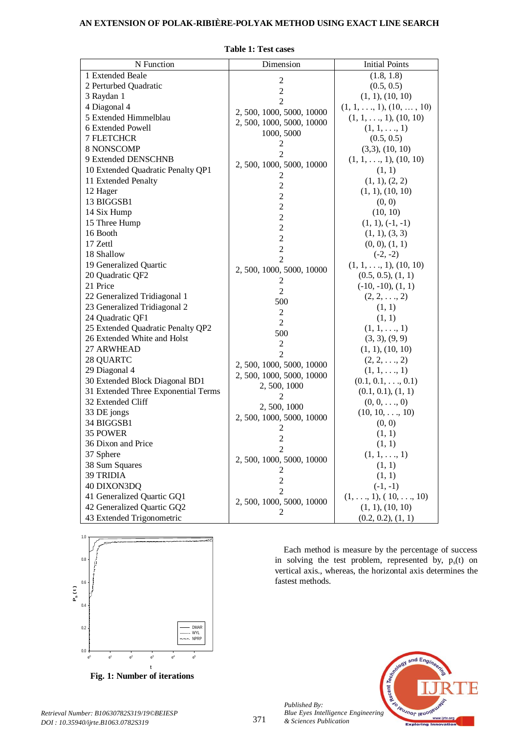# **AN EXTENSION OF POLAK-RIBIÈRE-POLYAK METHOD USING EXACT LINE SEARCH**

| N Function                          | Dimension                 | <b>Initial Points</b>                 |
|-------------------------------------|---------------------------|---------------------------------------|
| 1 Extended Beale                    |                           | (1.8, 1.8)                            |
| 2 Perturbed Quadratic               | $\overline{2}$            | (0.5, 0.5)                            |
| 3 Raydan 1                          | $\overline{c}$            | (1, 1), (10, 10)                      |
| 4 Diagonal 4                        | $\overline{2}$            | $(1, 1, \ldots, 1), (10, \ldots, 10)$ |
| 5 Extended Himmelblau               | 2, 500, 1000, 5000, 10000 | $(1, 1, \ldots, 1), (10, 10)$         |
| 6 Extended Powell                   | 2, 500, 1000, 5000, 10000 | $(1, 1, \ldots, 1)$                   |
| <b>7 FLETCHCR</b>                   | 1000, 5000                | (0.5, 0.5)                            |
| 8 NONSCOMP                          | 2                         | (3,3), (10, 10)                       |
| 9 Extended DENSCHNB                 | $\overline{2}$            | $(1, 1, \ldots, 1), (10, 10)$         |
| 10 Extended Quadratic Penalty QP1   | 2, 500, 1000, 5000, 10000 | (1, 1)                                |
| 11 Extended Penalty                 | 2                         | (1, 1), (2, 2)                        |
| 12 Hager                            | $\overline{c}$            | (1, 1), (10, 10)                      |
| 13 BIGGSB1                          | $\overline{c}$            | (0, 0)                                |
| 14 Six Hump                         | $\overline{c}$            | (10, 10)                              |
| 15 Three Hump                       | $\overline{c}$            | $(1, 1), (-1, -1)$                    |
| 16 Booth                            | $\overline{2}$            | (1, 1), (3, 3)                        |
| 17 Zettl                            | $\overline{c}$            | (0, 0), (1, 1)                        |
| 18 Shallow                          | $\overline{c}$            | $(-2, -2)$                            |
| 19 Generalized Quartic              | $\overline{2}$            | $(1, 1, \ldots, 1), (10, 10)$         |
| 20 Quadratic QF2                    | 2, 500, 1000, 5000, 10000 | (0.5, 0.5), (1, 1)                    |
| 21 Price                            | 2                         | $(-10, -10), (1, 1)$                  |
| 22 Generalized Tridiagonal 1        | $\overline{2}$            | $(2, 2, \ldots, 2)$                   |
| 23 Generalized Tridiagonal 2        | 500                       | (1, 1)                                |
| 24 Quadratic QF1                    | $\overline{c}$            | (1, 1)                                |
| 25 Extended Quadratic Penalty QP2   | $\overline{2}$            | $(1, 1, \ldots, 1)$                   |
| 26 Extended White and Holst         | 500                       | (3, 3), (9, 9)                        |
| 27 ARWHEAD                          | $\mathfrak{2}$            | (1, 1), (10, 10)                      |
| 28 QUARTC                           | $\overline{2}$            | $(2, 2, \ldots, 2)$                   |
| 29 Diagonal 4                       | 2, 500, 1000, 5000, 10000 | $(1, 1, \ldots, 1)$                   |
| 30 Extended Block Diagonal BD1      | 2, 500, 1000, 5000, 10000 | $(0.1, 0.1, \ldots, 0.1)$             |
| 31 Extended Three Exponential Terms | 2, 500, 1000              | (0.1, 0.1), (1, 1)                    |
| 32 Extended Cliff                   | 2                         | $(0, 0, \ldots, 0)$                   |
| 33 DE jongs                         | 2,500,1000                | $(10, 10, \ldots, 10)$                |
| 34 BIGGSB1                          | 2, 500, 1000, 5000, 10000 | (0, 0)                                |
| 35 POWER                            | 2                         | (1, 1)                                |
| 36 Dixon and Price                  | $\overline{2}$            | (1, 1)                                |
| 37 Sphere                           |                           | $(1, 1, \ldots, 1)$                   |
| 38 Sum Squares                      | 2, 500, 1000, 5000, 10000 | (1, 1)                                |
| 39 TRIDIA                           | 2                         | (1, 1)                                |
| 40 DIXON3DQ                         | $\overline{c}$            | $(-1, -1)$                            |
| 41 Generalized Quartic GQ1          | $\overline{2}$            | $(1, \ldots, 1), (10, \ldots, 10)$    |
| 42 Generalized Quartic GQ2          | 2, 500, 1000, 5000, 10000 | (1, 1), (10, 10)                      |
| 43 Extended Trigonometric           | 2                         | (0.2, 0.2), (1, 1)                    |

**Table 1: Test cases**



**Fig. 1: Number of iterations**

*Retrieval Number: B10630782S319/19©BEIESP DOI : 10.35940/ijrte.B1063.0782S319*

Each method is measure by the percentage of success in solving the test problem, represented by,  $p_s(t)$  on vertical axis., whereas, the horizontal axis determines the fastest methods.



371

*Published By: & Sciences Publication*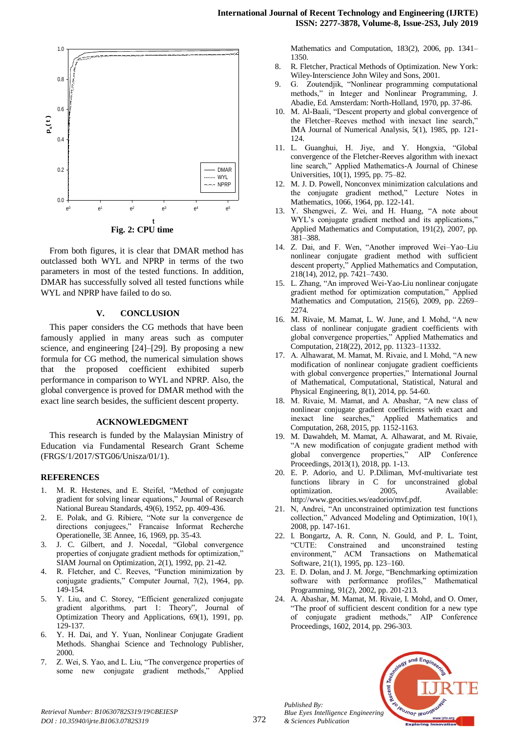

From both figures, it is clear that DMAR method has outclassed both WYL and NPRP in terms of the two parameters in most of the tested functions. In addition, DMAR has successfully solved all tested functions while WYL and NPRP have failed to do so.

## **V. CONCLUSION**

This paper considers the CG methods that have been famously applied in many areas such as computer science, and engineering [24]–[29]. By proposing a new formula for CG method, the numerical simulation shows that the proposed coefficient exhibited superb performance in comparison to WYL and NPRP. Also, the global convergence is proved for DMAR method with the exact line search besides, the sufficient descent property.

#### **ACKNOWLEDGMENT**

This research is funded by the Malaysian Ministry of Education via Fundamental Research Grant Scheme (FRGS/1/2017/STG06/Unisza/01/1).

#### **REFERENCES**

- 1. M. R. Hestenes, and E. Steifel, "Method of conjugate gradient for solving linear equations," Journal of Research National Bureau Standards, 49(6), 1952, pp. 409-436.
- 2. E. Polak, and G. Ribiere, "Note sur la convergence de directions conjugees," Francaise Informat Recherche Operationelle, 3E Annee, 16, 1969, pp. 35-43.
- 3. J. C. Gilbert, and J. Nocedal, "Global convergence properties of conjugate gradient methods for optimization," SIAM Journal on Optimization, 2(1), 1992, pp. 21-42.
- R. Fletcher, and C. Reeves, "Function minimization by conjugate gradients," Computer Journal, 7(2), 1964, pp. 149-154.
- 5. Y. Liu, and C. Storey, "Efficient generalized conjugate gradient algorithms, part 1: Theory", Journal of Optimization Theory and Applications, 69(1), 1991, pp. 129-137.
- 6. Y. H. Dai, and Y. Yuan, Nonlinear Conjugate Gradient Methods. Shanghai Science and Technology Publisher, 2000.
- 7. Z. Wei, S. Yao, and L. Liu, "The convergence properties of some new conjugate gradient methods," Applied

Mathematics and Computation, 183(2), 2006, pp. 1341– 1350.

- 8. R. Fletcher, Practical Methods of Optimization. New York: Wiley-Interscience John Wiley and Sons, 2001.
- 9. G. Zoutendjik, "Nonlinear programming computational methods," in Integer and Nonlinear Programming, J. Abadie, Ed. Amsterdam: North-Holland, 1970, pp. 37-86.
- 10. M. Al-Baali, "Descent property and global convergence of the Fletcher–Reeves method with inexact line search," IMA Journal of Numerical Analysis, 5(1), 1985, pp. 121- 124.
- 11. L. Guanghui, H. Jiye, and Y. Hongxia, "Global convergence of the Fletcher-Reeves algorithm with inexact line search," Applied Mathematics-A Journal of Chinese Universities, 10(1), 1995, pp. 75–82.
- 12. M. J. D. Powell, Nonconvex minimization calculations and the conjugate gradient method," Lecture Notes in Mathematics, 1066, 1964, pp. 122-141.
- 13. Y. Shengwei, Z. Wei, and H. Huang, "A note about WYL's conjugate gradient method and its applications," Applied Mathematics and Computation, 191(2), 2007, pp. 381–388.
- 14. Z. Dai, and F. Wen, "Another improved Wei–Yao–Liu nonlinear conjugate gradient method with sufficient descent property," Applied Mathematics and Computation, 218(14), 2012, pp. 7421–7430.
- 15. L. Zhang, "An improved Wei-Yao-Liu nonlinear conjugate gradient method for optimization computation," Applied Mathematics and Computation, 215(6), 2009, pp. 2269– 2274.
- 16. M. Rivaie, M. Mamat, L. W. June, and I. Mohd, "A new class of nonlinear conjugate gradient coefficients with global convergence properties," Applied Mathematics and Computation, 218(22), 2012, pp. 11323–11332.
- 17. A. Alhawarat, M. Mamat, M. Rivaie, and I. Mohd, "A new modification of nonlinear conjugate gradient coefficients with global convergence properties," International Journal of Mathematical, Computational, Statistical, Natural and Physical Engineering, 8(1), 2014, pp. 54-60.
- 18. M. Rivaie, M. Mamat, and A. Abashar, "A new class of nonlinear conjugate gradient coefficients with exact and inexact line searches," Applied Mathematics and Computation, 268, 2015, pp. 1152-1163.
- 19. M. Dawahdeh, M. Mamat, A. Alhawarat, and M. Rivaie, "A new modification of conjugate gradient method with global convergence properties," AIP Conference Proceedings, 2013(1), 2018, pp. 1-13.
- 20. E. P. Adorio, and U. P.Diliman, Mvf-multivariate test functions library in C for unconstrained global optimization. 2005, Available: http://www.geocities.ws/eadorio/mvf.pdf.
- 21. N, Andrei, "An unconstrained optimization test functions collection," Advanced Modeling and Optimization, 10(1), 2008, pp. 147-161.
- 22. I. Bongartz, A. R. Conn, N. Gould, and P. L. Toint, "CUTE: Constrained and unconstrained testing environment," ACM Transactions on Mathematical Software, 21(1), 1995, pp. 123–160.
- 23. E. D. Dolan, and J. M. Jorge, "Benchmarking optimization software with performance profiles," Mathematical Programming, 91(2), 2002, pp. 201-213.
- 24. A. Abashar, M. Mamat, M. Rivaie, I. Mohd, and O. Omer, "The proof of sufficient descent condition for a new type of conjugate gradient methods," AIP Conference Proceedings, 1602, 2014, pp. 296-303.



*Retrieval Number: B10630782S319/19©BEIESP DOI : 10.35940/ijrte.B1063.0782S319*

*Published By:*